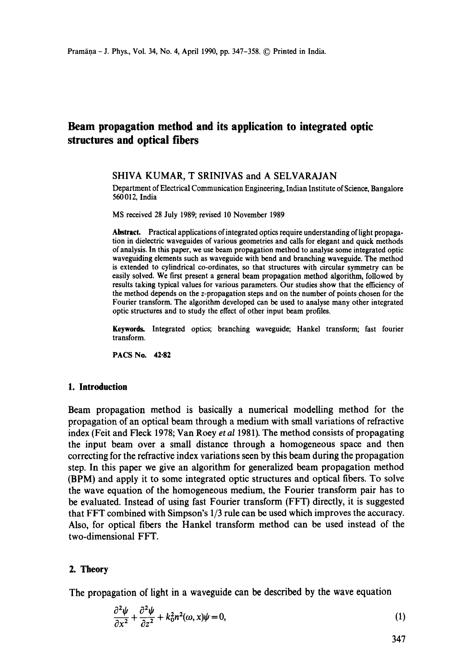# **Beam propagation method and its application to integrated optic structures and optical fibers**

#### SHIVA **KUMAR, T** SRINIVAS and **A SELVARAJAN**

Department of Electrical Communication Engineering, Indian Institute of Science, Bangalore 560012, India

MS received 28 July 1989; revised 10 November 1989

**Abstract.** Practical applications ofintegrated optics require understanding of light propagation in dielectric waveguides of various geometries and calls for elegant and quick methods of analysis. In this paper, we use beam propagation method to analyse some integrated optic waveguiding elements such as waveguide with bend and branching waveguide. The method is extended to cylindrical co-ordinates, so that structures with circular symmetry can be easily solved. We first present a general beam propagation method algorithm, followed by results taking typical values for various parameters. Our studies show that the efficiency of the method depends on the z-propagation steps and on the number of points chosen for the Fourier transform. The algorithm developed can be used to analyse many other integrated optic structures and to study the effect of other input beam profiles.

**Keywords.** Integrated optics; branching waveguide; Hankel transform; fast fourier transform.

PACS No. 42-82

#### **1. Introduction**

Beam propagation method is basically a numerical modelling method for the propagation of an optical beam through a medium with small variations of refractive index (Feit and Fleck 1978; Van Roey *et al* 1981). The method consists of propagating the input beam over a small distance through a homogeneous space and then correcting for the refractive index variations seen by this beam during the propagation step. In this paper we give an algorithm for generalized beam propagation method (BPM) and apply it to some integrated optic structures and optical fibers. To solve the wave equation of the homogeneous medium, the Fourier transform pair has to be evaluated. Instead of using fast Fourier transform (FFT) directly, it is suggested that FFT combined with Simpson's 1/3 rule can be used which improves the accuracy. Also, for optical fibers the Hankel transform method can be used instead of the two-dimensional FFT.

#### **2. Theory**

The propagation of light in a waveguide can be described by the wave equation

$$
\frac{\partial^2 \psi}{\partial x^2} + \frac{\partial^2 \psi}{\partial z^2} + k_0^2 n^2(\omega, x)\psi = 0,
$$
\n(1)

347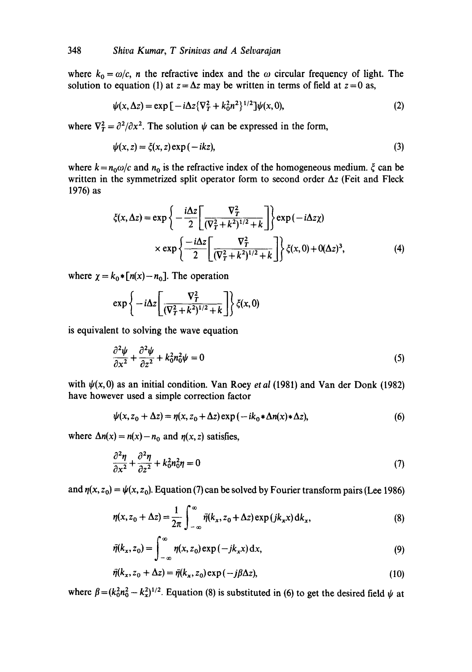where  $k_0 = \omega/c$ , *n* the refractive index and the  $\omega$  circular frequency of light. The solution to equation (1) at  $z = \Delta z$  may be written in terms of field at  $z = 0$  as,

$$
\psi(x,\Delta z) = \exp\left[-i\Delta z \{\nabla_T^2 + k_0^2 n^2\}^{1/2}\right] \psi(x,0),\tag{2}
$$

where  $\nabla_T^2 = \frac{\partial^2}{\partial x^2}$ . The solution  $\psi$  can be expressed in the form,

$$
\psi(x, z) = \xi(x, z) \exp(-ikz),\tag{3}
$$

where  $k = n_0 \omega/c$  and  $n_0$  is the refractive index of the homogeneous medium.  $\zeta$  can be written in the symmetrized split operator form to second order  $\Delta z$  (Feit and Fleck 1976) as

$$
\xi(x,\Delta z) = \exp\left\{-\frac{i\Delta z}{2} \left[\frac{\nabla_T^2}{(\nabla_T^2 + k^2)^{1/2} + k}\right]\right\} \exp(-i\Delta z \chi)
$$

$$
\times \exp\left\{-\frac{i\Delta z}{2} \left[\frac{\nabla_T^2}{(\nabla_T^2 + k^2)^{1/2} + k}\right]\right\} \xi(x,0) + O(\Delta z)^3,
$$
(4)

where  $\chi = k_0 * [n(x) - n_0]$ . The operation

$$
\exp\left\{-i\Delta z \left[\frac{\nabla_T^2}{(\nabla_T^2 + k^2)^{1/2} + k}\right]\right\} \zeta(x,0)
$$

is equivalent to solving the wave equation

$$
\frac{\partial^2 \psi}{\partial x^2} + \frac{\partial^2 \psi}{\partial z^2} + k_0^2 n_0^2 \psi = 0
$$
 (5)

with  $\psi(x,0)$  as an initial condition. Van Roey *et al* (1981) and Van der Donk (1982) have however used a simple correction factor

$$
\psi(x, z_0 + \Delta z) = \eta(x, z_0 + \Delta z) \exp(-ik_0 * \Delta n(x) * \Delta z), \tag{6}
$$

where  $\Delta n(x) = n(x) - n_0$  and  $n(x, z)$  satisfies,

$$
\frac{\partial^2 \eta}{\partial x^2} + \frac{\partial^2 \eta}{\partial z^2} + k_0^2 n_0^2 \eta = 0
$$
\n(7)

and  $\eta(x, z_0) = \psi(x, z_0)$ . Equation (7) can be solved by Fourier transform pairs (Lee 1986)

$$
\eta(x, z_0 + \Delta z) = \frac{1}{2\pi} \int_{-\infty}^{\infty} \bar{\eta}(k_x, z_0 + \Delta z) \exp(jk_x x) dk_x,
$$
\n(8)

$$
\bar{\eta}(k_x, z_0) = \int_{-\infty}^{\infty} \eta(x, z_0) \exp(-jk_x x) dx, \qquad (9)
$$

$$
\bar{\eta}(k_x, z_0 + \Delta z) = \bar{\eta}(k_x, z_0) \exp(-j\beta \Delta z), \qquad (10)
$$

where  $\beta = (k_0^2 n_0^2 - k_x^2)^{1/2}$ . Equation (8) is substituted in (6) to get the desired field  $\psi$  at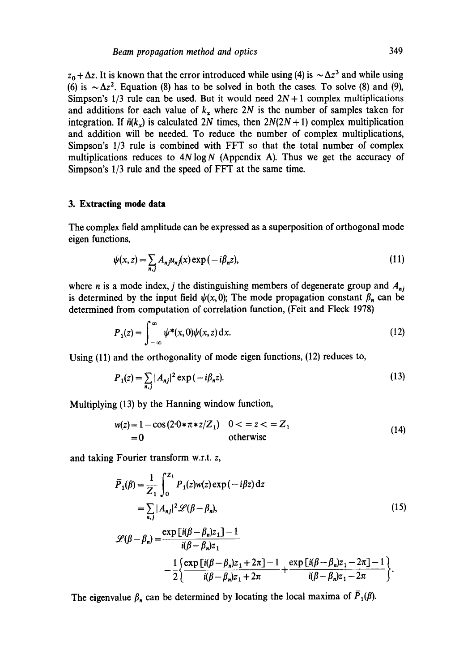$z_0 + \Delta z$ . It is known that the error introduced while using (4) is  $\sim \Delta z^3$  and while using (6) is  $\sim \Delta z^2$ . Equation (8) has to be solved in both the cases. To solve (8) and (9), Simpson's  $1/3$  rule can be used. But it would need  $2N + 1$  complex multiplications and additions for each value of  $k_x$  where 2N is the number of samples taken for integration. If  $\bar{n}(k_x)$  is calculated 2N times, then  $2N(2N + 1)$  complex multiplication and addition will be needed. To reduce the number of complex multiplicationg, Simpson's 1/3 rule is combined with FFT so that the total number of complex multiplications reduces to  $4N \log N$  (Appendix A). Thus we get the accuracy of Simpson's 1/3 rule and the speed of FFT at the same time.

#### **3. Extracting mode data**

The complex field amplitude can be expressed as a superposition of orthogonal mode eigen functions,

$$
\psi(x, z) = \sum_{n,j} A_{nj} u_{nj}(x) \exp(-i\beta_n z), \tag{11}
$$

where n is a mode index, j the distinguishing members of degenerate group and  $A_{nj}$ is determined by the input field  $\psi(x, 0)$ ; The mode propagation constant  $\beta_n$  can be determined from computation of correlation function, (Feit and Fleck 1978)

$$
P_1(z) = \int_{-\infty}^{\infty} \psi^*(x,0)\psi(x,z) dx.
$$
 (12)

Using (11) and the orthogonality of mode eigen functions, (12) reduces to,

$$
P_1(z) = \sum_{n,j} |A_{nj}|^2 \exp(-i\beta_n z). \tag{13}
$$

Multiplying (13) by the Hanning window function,

$$
w(z) = 1 - \cos(2 \cdot 0 * \pi * z / Z_1) \quad 0 < z < Z_1
$$
  
= 0 \qquad \text{otherwise} \qquad (14)

and taking Fourier transform w.r.t, z,

$$
\bar{P}_1(\beta) = \frac{1}{Z_1} \int_0^{Z_1} P_1(z)w(z) \exp(-i\beta z) dz
$$
\n
$$
= \sum_{n,j} |A_{nj}|^2 \mathcal{L}(\beta - \beta_n), \qquad (15)
$$
\n
$$
\mathcal{L}(\beta - \beta_n) = \frac{\exp[i(\beta - \beta_n)z_1] - 1}{i(\beta - \beta_n)z_1} - \frac{1}{2} \left\{ \frac{\exp[i(\beta - \beta_n)z_1 + 2\pi] - 1}{i(\beta - \beta_n)z_1 + 2\pi} + \frac{\exp[i(\beta - \beta_n)z_1 - 2\pi] - 1}{i(\beta - \beta_n)z_1 - 2\pi} \right\}.
$$
\n(15)

The eigenvalue  $\beta_n$  can be determined by locating the local maxima of  $\overline{P}_1(\beta)$ .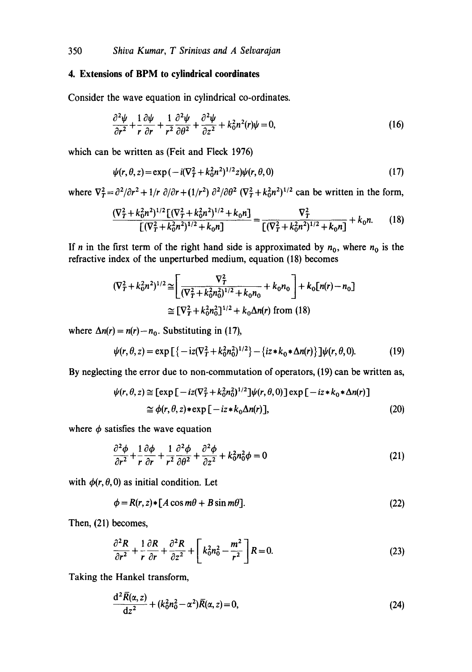# **4. Extensions of BPM to cylindrical coordinates**

Consider the wave equation in cylindrical co-ordinates.

$$
\frac{\partial^2 \psi}{\partial r^2} + \frac{1}{r} \frac{\partial \psi}{\partial r} + \frac{1}{r^2} \frac{\partial^2 \psi}{\partial \theta^2} + \frac{\partial^2 \psi}{\partial z^2} + k_0^2 n^2(r) \psi = 0,
$$
\n(16)

which can be written as (Feit and Fleck 1976)

$$
\psi(r,\theta,z) = \exp\left(-i(\nabla_T^2 + k_0^2 n^2)^{1/2} z\right) \psi(r,\theta,0) \tag{17}
$$

where  $\nabla_T^2 = \frac{\partial^2}{\partial r^2} + \frac{1}{r} \frac{\partial}{\partial r} + \frac{1}{r^2} \frac{\partial^2}{\partial \theta^2} (\nabla_T^2 + k_0^2 n^2)^{1/2}$  can be written in the form,

$$
\frac{(\nabla_T^2 + k_0^2 n^2)^{1/2} [(\nabla_T^2 + k_0^2 n^2)^{1/2} + k_0 n]}{[(\nabla_T^2 + k_0^2 n^2)^{1/2} + k_0 n]} = \frac{\nabla_T^2}{[(\nabla_T^2 + k_0^2 n^2)^{1/2} + k_0 n]} + k_0 n. \tag{18}
$$

If n in the first term of the right hand side is approximated by  $n_0$ , where  $n_0$  is the refractive index of the unperturbed medium, equation (18) becomes

$$
(\nabla_T^2 + k_0^2 n^2)^{1/2} \cong \left[ \frac{\nabla_T^2}{(\nabla_T^2 + k_0^2 n_0^2)^{1/2} + k_0 n_0} + k_0 n_0 \right] + k_0 [n(r) - n_0]
$$
  

$$
\cong [\nabla_T^2 + k_0^2 n_0^2]^{1/2} + k_0 \Delta n(r) \text{ from (18)}
$$

where  $\Delta n(r) = n(r) - n_0$ . Substituting in (17),

$$
\psi(r,\theta,z) = \exp\left[\{-iz(\nabla_T^2 + k_0^2n_0^2)^{1/2}\} - \{iz * k_0 * \Delta n(r)\}\right]\psi(r,\theta,0). \tag{19}
$$

By neglecting the error due to non-commutation of operators, (19) can be written as,

$$
\psi(r,\theta,z) \cong \left[\exp\left[-iz(\nabla_T^2 + k_0^2 n_0^2)^{1/2}\right]\psi(r,\theta,0)\right] \exp\left[-iz * k_0 * \Delta n(r)\right] \\
\cong \phi(r,\theta,z) * \exp\left[-iz * k_0 \Delta n(r)\right],\n\tag{20}
$$

where  $\phi$  satisfies the wave equation

$$
\frac{\partial^2 \phi}{\partial r^2} + \frac{1}{r} \frac{\partial \phi}{\partial r} + \frac{1}{r^2} \frac{\partial^2 \phi}{\partial \theta^2} + \frac{\partial^2 \phi}{\partial z^2} + k_0^2 n_0^2 \phi = 0
$$
\n(21)

with  $\phi(r, \theta, 0)$  as initial condition. Let

$$
\phi = R(r, z) * [A \cos m\theta + B \sin m\theta]. \tag{22}
$$

Then, (21) becomes,

$$
\frac{\partial^2 R}{\partial r^2} + \frac{1}{r} \frac{\partial R}{\partial r} + \frac{\partial^2 R}{\partial z^2} + \left[ k_0^2 n_0^2 - \frac{m^2}{r^2} \right] R = 0.
$$
 (23)

Taking the Hankel transform,

$$
\frac{d^2 \bar{R}(\alpha, z)}{dz^2} + (k_0^2 n_0^2 - \alpha^2) \bar{R}(\alpha, z) = 0,
$$
\n(24)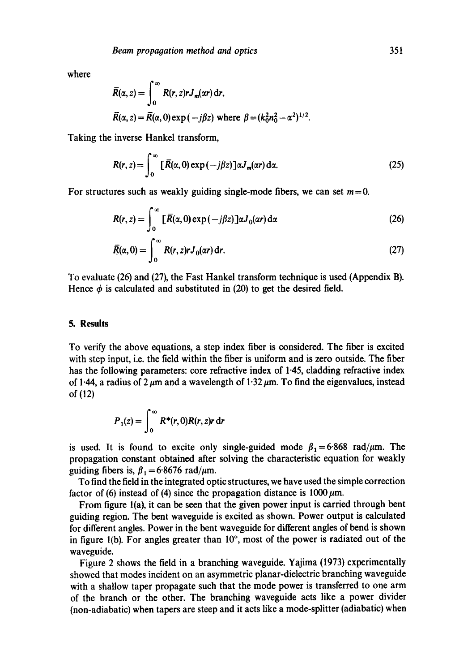where

$$
\overline{R}(\alpha, z) = \int_0^\infty R(r, z) r J_m(\alpha r) dr,
$$
  
\n
$$
\overline{R}(\alpha, z) = \overline{R}(\alpha, 0) \exp(-j\beta z) \text{ where } \beta = (k_0^2 n_0^2 - \alpha^2)^{1/2}.
$$

Taking the inverse Hankel transform,

$$
R(r, z) = \int_0^\infty \left[ \bar{R}(\alpha, 0) \exp(-j\beta z) \right] \alpha J_m(\alpha r) \, \mathrm{d}\alpha. \tag{25}
$$

For structures such as weakly guiding single-mode fibers, we can set  $m = 0$ .

$$
R(r, z) = \int_0^\infty \left[ \overline{R}(\alpha, 0) \exp(-j\beta z) \right] \alpha J_0(\alpha r) d\alpha \tag{26}
$$

$$
\overline{R}(\alpha,0) = \int_0^\infty R(r,z)rJ_0(\alpha r) dr.
$$
 (27)

To evaluate (26) and (27), the Fast Hankel transform technique is used (Appendix B). Hence  $\phi$  is calculated and substituted in (20) to get the desired field.

#### **5. Results**

To verify the above equations, a step index fiber is considered. The fiber is excited with step input, i.e. the field within the fiber is uniform and is zero outside. The fiber has the following parameters: core refractive index of 1.45, cladding refractive index of 1.44, a radius of 2  $\mu$ m and a wavelength of 1.32  $\mu$ m. To find the eigenvalues, instead of (12)

$$
P_1(z) = \int_0^\infty R^*(r, 0) R(r, z) r \, dr
$$

is used. It is found to excite only single-guided mode  $\beta_1 = 6.868$  rad/ $\mu$ m. The propagation constant obtained after solving the characteristic equation for weakly guiding fibers is,  $\beta_1 = 6.8676$  rad/ $\mu$ m.

To find the field in the integrated optic structures, we have used the simple correction factor of (6) instead of (4) since the propagation distance is  $1000 \mu m$ .

From figure l(a), it can be seen that the given power input is carried through bent guiding region. The bent waveguide is excited as shown. Power output is calculated for different angles. Power in the bent waveguide for different angles of bend is shown in figure 1(b). For angles greater than  $10^{\circ}$ , most of the power is radiated out of the waveguide.

Figure 2 shows the field in a branching waveguide. Yajima (1973) experimentally showed that modes incident on an asymmetric planar-dielectric branching waveguide with a shallow taper propagate such that the mode power is transferred to one arm of the branch or the other. The branching waveguide acts like a power divider (non-adiabatic) when tapers are steep and it acts like a mode-splitter (adiabatic) when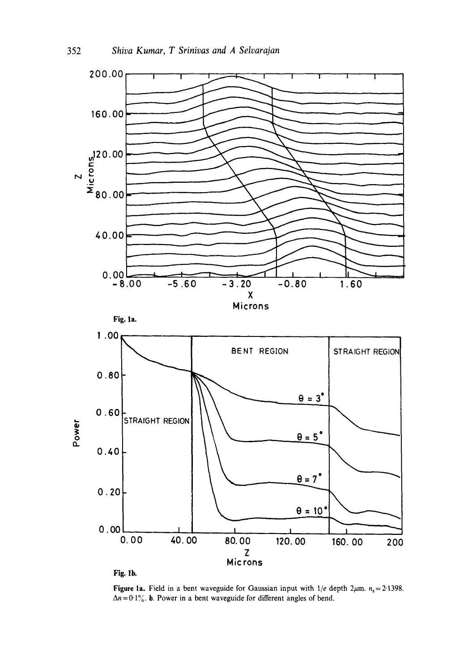

Figure 1a. Field in a bent waveguide for Gaussian input with  $1/e$  depth  $2\mu$ m.  $n_s = 2.1398$ .  $\Delta n = 0.1\%$ . b. Power in a bent waveguide for different angles of bend.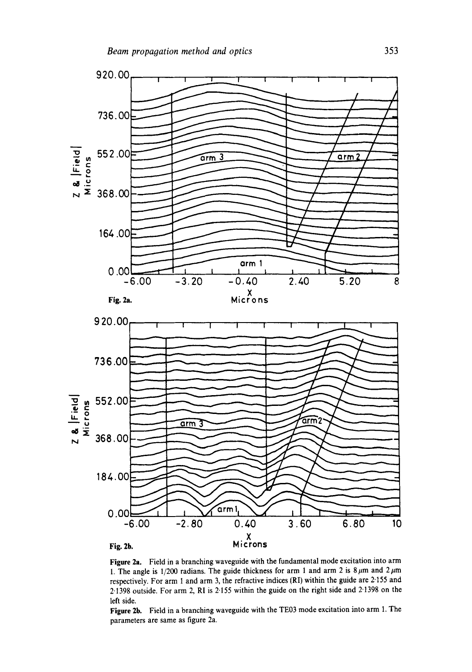

Figure 2a. Field in a branching waveguide with the fundamental mode excitation into arm 1. The angle is 1/200 radians. The guide thickness for arm 1 and arm 2 is  $8 \mu m$  and  $2 \mu m$ respectively. For arm 1 and arm 3, the refractive indices (RI) within the guide are 2.155 and 2.1398 outside. For arm 2, RI is 2.155 within the guide on the right side and 2.1398 on the left side.

Figure 2b. Field in a branching waveguide with the TE03 mode excitation into arm 1. The parameters are same as figure 2a.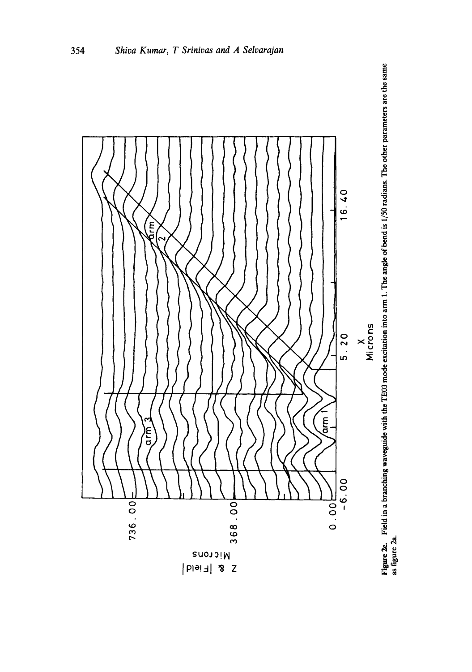

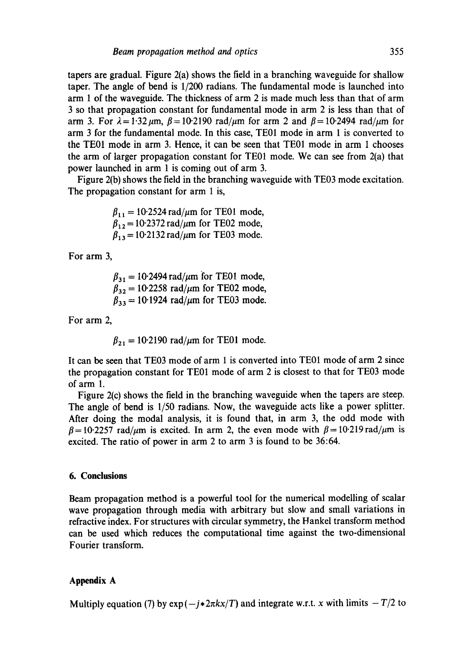tapers are gradual. Figure 2(a) shows the field in a branching waveguide for shallow taper. The angle of bend is 1/200 radians. The fundamental mode is launched into arm 1 of the waveguide. The thickness of arm 2 is made much less than that of arm 3 so that propagation constant for fundamental mode in arm 2 is less than that of arm 3. For  $\lambda = 1.32 \mu m$ ,  $\beta = 10.2190$  rad/ $\mu$ m for arm 2 and  $\beta = 10.2494$  rad/ $\mu$ m for arm 3 for the fundamental mode. In this case, TE01 mode in arm 1 is converted to the TE01 mode in arm 3. Hence, it can be seen that TE01 mode in arm 1 chooses the arm of larger propagation constant for TE01 mode. We can see from 2(a) that power launched in arm 1 is coming out of arm 3.

Figure 2(b) shows the field in the branching waveguide with TE03 mode excitation. The propagation constant for arm 1 is,

> $\beta_{11} = 10.2524 \text{ rad}/\mu \text{m}$  for TE01 mode,  $\beta_{12}$  = 10.2372 rad/ $\mu$ m for TE02 mode,  $\beta_{13} = 10.2132 \text{ rad}/\mu \text{m}$  for TE03 mode.

For arm 3,

 $\beta_{31} = 10.2494 \text{ rad}/\mu \text{m}$  for TE01 mode,  $\beta_{32} = 10.2258 \text{ rad}/\mu \text{m}$  for TE02 mode,  $\beta_{33} = 10.1924$  rad/ $\mu$ m for TE03 mode.

For arm 2,

 $\beta_{21} = 10.2190$  rad/ $\mu$ m for TE01 mode.

It can be seen that TE03 mode of arm 1 is converted into TE01 mode of arm 2 since the propagation constant for TE01 mode of arm 2 is closest to that for TE03 mode of arm 1.

Figure 2(c) shows the field in the branching waveguide when the tapers are steep. The angle of bend is 1/50 radians. Now, the waveguide acts like a power splitter. After doing the modal analysis, it is found that, in arm 3, the odd mode with  $\beta = 10.2257$  rad/ $\mu$ m is excited. In arm 2, the even mode with  $\beta = 10.219$  rad/ $\mu$ m is excited. The ratio of power in arm 2 to arm 3 is found to be 36:64.

### **6. Conclusions**

Beam propagation method is a powerful tool for the numerical modelling of scalar wave propagation through media with arbitrary but slow and small variations in refractive index. For structures with circular symmetry, the Hankel transform method can be used which reduces the computational time against the two-dimensional Fourier transform.

### **Appendix A**

Multiply equation (7) by  $exp(-j*2\pi kx/T)$  and integrate w.r.t. x with limits  $-T/2$  to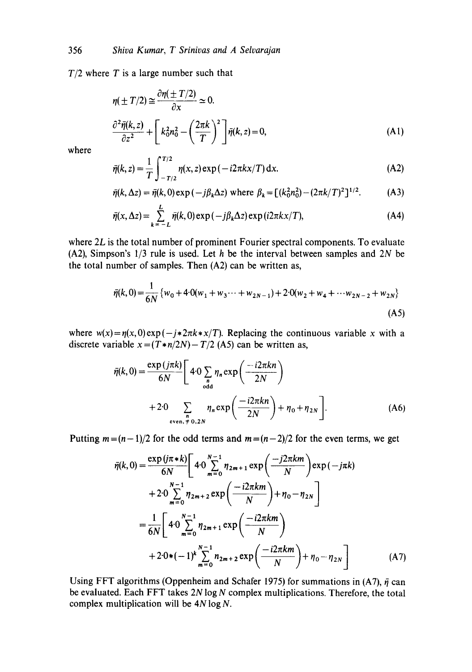$T/2$  where T is a large number such that

$$
\eta(\pm T/2) \approx \frac{\partial \eta(\pm T/2)}{\partial x} \approx 0.
$$
  

$$
\frac{\partial^2 \bar{\eta}(k, z)}{\partial z^2} + \left[k_0^2 n_0^2 - \left(\frac{2\pi k}{T}\right)^2\right] \bar{\eta}(k, z) = 0,
$$
 (A1)

where

$$
\bar{\eta}(k, z) = \frac{1}{T} \int_{-T/2}^{T/2} \eta(x, z) \exp(-i2\pi kx/T) \, dx.
$$
 (A2)

$$
\bar{\eta}(k, \Delta z) = \bar{\eta}(k, 0) \exp(-j\beta_k \Delta z) \text{ where } \beta_k = \left[ (k_0^2 n_0^2) - (2\pi k/T)^2 \right]^{1/2}.
$$
 (A3)

$$
\bar{\eta}(x,\Delta z) = \sum_{k=-L}^{L} \bar{\eta}(k,0) \exp(-j\beta_k \Delta z) \exp(i2\pi kx/T), \tag{A4}
$$

where 2L is the total number of prominent Fourier spectral components. To evaluate (A2), Simpson's  $1/3$  rule is used. Let h be the interval between samples and  $2N$  be the total number of samples. Then (A2) can be written as,

$$
\bar{\eta}(k,0) = \frac{1}{6N} \left\{ w_0 + 4 \cdot 0(w_1 + w_3 \cdots + w_{2N-1}) + 2 \cdot 0(w_2 + w_4 + \cdots w_{2N-2} + w_{2N}) \right\}
$$
\n(A5)

where  $w(x) = \eta(x,0) \exp(-j \cdot 2\pi k \cdot x/T)$ . Replacing the continuous variable x with a discrete variable  $x = (T * n/2N) - T/2$  (A5) can be written as,

$$
\bar{\eta}(k,0) = \frac{\exp(j\pi k)}{6N} \left[ 4 \cdot 0 \sum_{\substack{n \text{odd}}} \eta_n \exp\left(\frac{-i2\pi kn}{2N}\right) + 2 \cdot 0 \sum_{\substack{n \text{even, }\neq}} \eta_n \exp\left(\frac{-i2\pi kn}{2N}\right) + \eta_0 + \eta_{2N} \right].
$$
\n(A6)

Putting  $m=(n-1)/2$  for the odd terms and  $m=(n-2)/2$  for the even terms, we get

$$
\bar{\eta}(k,0) = \frac{\exp(j\pi * k)}{6N} \left[ 4 \cdot 0 \sum_{m=0}^{N-1} \eta_{2m+1} \exp\left(\frac{-j2\pi km}{N}\right) \exp(-j\pi k) + 2 \cdot 0 \sum_{m=0}^{N-1} \eta_{2m+2} \exp\left(\frac{-i2\pi km}{N}\right) + \eta_0 - \eta_{2N} \right]
$$

$$
= \frac{1}{6N} \left[ 4 \cdot 0 \sum_{m=0}^{N-1} \eta_{2m+1} \exp\left(\frac{-i2\pi km}{N}\right) + 2 \cdot 0*(-1)^k \sum_{m=0}^{N-1} \eta_{2m+2} \exp\left(\frac{-i2\pi km}{N}\right) + \eta_0 - \eta_{2N} \right]
$$
(A7)

Using FFT algorithms (Oppenheim and Schafer 1975) for summations in (A7),  $\bar{\eta}$  can be evaluated. Each FFT takes  $2N \log N$  complex multiplications. Therefore, the total complex multiplication will be  $4N \log N$ .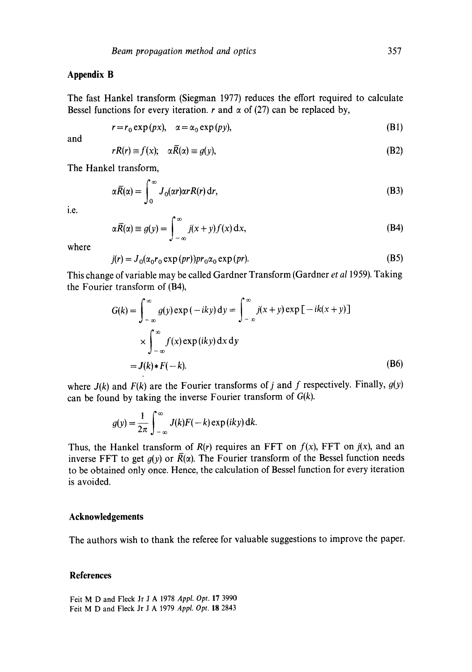# **Appendix B**

The fast Hankel transform (Siegman 1977) reduces the effort required to calculate Bessel functions for every iteration, r and  $\alpha$  of (27) can be replaced by,

$$
r = r_0 \exp(px), \quad \alpha = \alpha_0 \exp(py), \tag{B1}
$$

and

$$
rR(r) \equiv f(x); \quad \alpha \overline{R}(\alpha) \equiv g(y), \tag{B2}
$$

The Hankel transform,

$$
\alpha \overline{R}(\alpha) = \int_0^\infty J_0(\alpha r) \alpha r R(r) \, \mathrm{d}r,\tag{B3}
$$

i.e.

$$
\alpha \overline{R}(\alpha) \equiv g(y) = \int_{-\infty}^{\infty} j(x+y) f(x) \, \mathrm{d}x,\tag{B4}
$$

where

$$
j(r) = J_0(\alpha_0 r_0 \exp(pr)) pr_0 \alpha_0 \exp(pr).
$$
 (B5)

This change of variable may be called Gardner Transform (Gardner *et a11959).* Taking the Fourier transform of (B4),

$$
G(k) = \int_{-\infty}^{\infty} g(y) \exp(-iky) dy = \int_{-\infty}^{\infty} j(x+y) \exp[-ik(x+y)]
$$
  
 
$$
\times \int_{-\infty}^{\infty} f(x) \exp(iky) dx dy
$$
  
=  $J(k) * F(-k).$  (B6)

where  $J(k)$  and  $F(k)$  are the Fourier transforms of j and f respectively. Finally,  $g(y)$ can be found by taking the inverse Fourier transform of *G(k).* 

$$
g(y) = \frac{1}{2\pi} \int_{-\infty}^{\infty} J(k)F(-k) \exp(iky) dk.
$$

Thus, the Hankel transform of  $R(r)$  requires an FFT on  $f(x)$ , FFT on  $j(x)$ , and an inverse FFT to get  $g(y)$  or  $\overline{R}(\alpha)$ . The Fourier transform of the Bessel function needs to be obtained only once. Hence, the calculation of Bessel function for every iteration is avoided.

# **Acknowledgements**

The authors wish to thank the referee for valuable suggestions to improve the paper.

### **References**

Felt M D and Fleck Jr J A 1978 *Appl. Opt.* 17 3990 Felt M D and Fleck Jr J A 1979 *Appl. Opt.* 18 2843